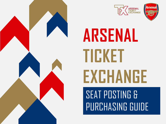



# **ARSENAL TICKET EXCHANGE**

SEAT POSTING & PURCHASING GUIDE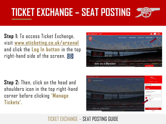## **C TICKET EXCHANGE – SEAT POSTING**

**Step 1:** To access Ticket Exchange, visit **[www.eticketing.co.uk/arsenal](http://www.eticketing.co.uk/arsenal)** and click the **Log In button** in the top right-hand side of the screen. **(9)** 

**Step 2:** Then, click on the head and shoulders icon in the top right-hand corner before clicking **'Manage Tickets'.**





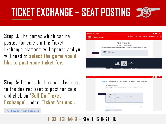## **C TICKET EXCHANGE – SEAT POSTING**

**Step 3:** The games which can be posted for sale via the Ticket Exchange platform will appear and you will need to **select the game you'd like to post your ticket for.**

**Step 4:** Ensure the box is ticked next to the desired seat to post for sale and click on **'Sell On Ticket Exchange'** under **'Ticket Actions'.**

**SELL ON TICKET EXCHANGE** 

**ONLINE BOX OFFICE TICKET MANAGEMENT** SELECT AN EVENT TO MANAGE VOLLE TICKETS .<br>HE TICKET EXCHANGE AND TICKET TRANSFER SERVICES WILL NOW STAY OPEN UNTIL THREE HOURS BEFORE THE ADVERTISED KICK-OF **PLATINUM TEST** Tue 31 May, 13:00, Emi  $\sqrt{2}$  1 ticket

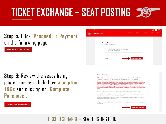#### **Sack to Arsenal.com 2** Tickets ONLINE BOX OFFICE **Step 5:** Click **'Proceed To Payment'**

### on the following page.

**PROCEED TO PAYMENT** 

**Step 6:** Review the seats being posted for re-sale before **accepting T&Cs** and clicking on **'Complete Purchase'.** 



#### **TERMS & CONDITIONS**

[2] Please tick to confirm that you have read, understood and agree to the Supporters' Code of Conduct and the Terms & Conditions of The Arsenal Football Club PLC that are applicable to your purchase.

If your purchase includes a ticket to the Arsenal Women vs Tottenham Hotspur F.C. Women match (curre scheduled for 27 March 2022) and you use a valid Mastercard for the purchase, then you shall be entered into a prize draw for a chance to win a variety of prizes (one entry per person, must be aged 18+ and resident in Great Britain, competition closes on 27 March 2022 at 12pm (UK time)). For information on the prize draw and the terms and conditions that apply, please go to https://www.arsenal.com/news/mastercard-ticket-incentive. For information about how we process your personal data see our Privacy Policy at https://www.arsenal.com/privacypolicy.

Please note: By clicking Complete Transaction, your booking will be submitted and your payment will be processed.

Your contrast with un starts ance low've confirmed your questions (your payment has been processed) and explore immediately after the completion of the event for which you purchased the ticket(s).

By clicking "Complete Purchase" you agree to our Terms and Conditions and to the Event Partner(s) contacting you by email or other means about information that may interest you.

WARNING: Your card maybe eligible or enrolled in Verified by Visa or MasterCard SecureCode payer authentication programs. After clicking the " Complete Transaction" button, your Card Issuer may prompt you for your payer authentication password to compl your transaction.



## **C TICKET EXCHANGE – SEAT POSTING**

**COMPLETE PURCHASE**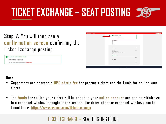## **C TICKET EXCHANGE – SEAT POSTING**



#### **Step 7:** You will then see a **confirmation screen** confirming the Ticket Exchange posting.

#### THANK YOU FOR YOUR PURCHASE! REFERENCE: 16310550 You can always access your order in My Account



#### **Note:**

- Supporters are charged a **10% admin fee** for posting tickets and the funds for selling your ticket
- The **funds** for selling your ticket will be added to your **online account** and can be withdrawn in a cashback window throughout the season. The dates of these cashback windows can be found here: **<https://www.arsenal.com/ticketexchange>**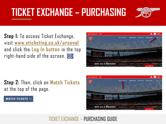

**Step 1:** To access Ticket Exchange, visit **[www.eticketing.co.uk/arsenal](http://www.eticketing.co.uk/arsenal)** and click the **Log In button** in the top right-hand side of the screen. **(9)** 



**Step 2:** Then, click on **Match Tickets**  at the top of the page.

MATCH TICKETS  $\sim$ 

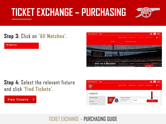

### **Step 3:** Click on **'All Matches'.**

**All Matches** 



**Step 4:** Select the relevant fixture and click **'Find Tickets'.**

**FIND TICKETS** ⋋

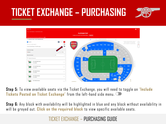



**Step 5:** To view available seats via the Ticket Exchange, you will need to toggle on **'Include Tickets Posted on Ticket Exchange'** from the left-hand side menu.

**Step 6:** Any block with availability will be highlighted in blue and any block without availability in will be greyed out. **Click on the required block** to view specific available seats.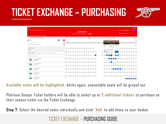

| 言葉                                                                         |                        |  |  |  |                      |  |                                                          |                     |                |                                                          |             |                                      |                                                                    |                 |                                                        |            |         |  | ٠                         | - 68    |
|----------------------------------------------------------------------------|------------------------|--|--|--|----------------------|--|----------------------------------------------------------|---------------------|----------------|----------------------------------------------------------|-------------|--------------------------------------|--------------------------------------------------------------------|-----------------|--------------------------------------------------------|------------|---------|--|---------------------------|---------|
| Home / Event Tickets List / Event Information Screen                       |                        |  |  |  | <b>PLATINUM TEST</b> |  |                                                          |                     |                |                                                          |             |                                      |                                                                    |                 | <b>CD</b> New Schot has been added to basket           |            |         |  | $\boldsymbol{\mathsf{x}}$ | 07:55   |
|                                                                            |                        |  |  |  |                      |  | Tue May 31st 2022 @ 13:00* Emirates Stadium ( Event Info |                     |                |                                                          |             |                                      |                                                                    |                 | <sup>(3)</sup> four tickets will be held for 8 minutes |            |         |  | $\boldsymbol{\times}$     |         |
| Delivery, payment and/or admin fees may apply to your order @              |                        |  |  |  |                      |  |                                                          |                     |                |                                                          |             |                                      |                                                                    |                 |                                                        |            |         |  |                           |         |
| <b>IIT CHOOSE YOUR TICKET PREFERENCES</b>                                  |                        |  |  |  |                      |  |                                                          |                     |                | Available Available (Not matching filters) Int available |             |                                      |                                                                    |                 |                                                        |            |         |  |                           |         |
| Quantity                                                                   | $\bullet$ : $\bullet$  |  |  |  |                      |  |                                                          |                     |                |                                                          |             |                                      | <b><i><u>Alexandro Control de Control de Alexandro de </u></i></b> |                 |                                                        |            |         |  |                           | $\circ$ |
| Only show me seats together                                                | $\Box$                 |  |  |  |                      |  |                                                          |                     |                |                                                          |             |                                      | <u>Janeiro Alba Jan</u><br>VIEW FROM AREA <sup>®</sup>             |                 |                                                        |            |         |  |                           | $+$     |
| Include Tickets Posted on Ticket Exchange                                  | $\circ$                |  |  |  |                      |  |                                                          |                     |                |                                                          | <b>AREA</b> |                                      | <b>PRICE BAND</b>                                                  | <b>ROW SEAT</b> |                                                        |            |         |  |                           | -       |
| CHOOSE BY AREA                                                             |                        |  |  |  |                      |  |                                                          | $\bullet$ $\bullet$ |                |                                                          | 65          |                                      | Midfield Seats 7 547                                               |                 |                                                        |            |         |  |                           |         |
| 75 Results                                                                 | Price: Low to High +   |  |  |  |                      |  |                                                          |                     |                |                                                          |             |                                      | SELECT YOUR PRICE CLASS                                            |                 |                                                        |            |         |  |                           |         |
|                                                                            | $\mathbb{A}\mathbb{I}$ |  |  |  |                      |  |                                                          |                     |                |                                                          |             | E215.90<br>£14.15 Tolet + £1.65 Pees | Internet Adult Member                                              | <b>ADD</b>      |                                                        |            |         |  |                           |         |
| Filter by Price Band                                                       |                        |  |  |  |                      |  |                                                          |                     |                |                                                          |             |                                      |                                                                    | .               |                                                        | $\bigcirc$ | $\circ$ |  |                           |         |
| Q. Search by Area name                                                     |                        |  |  |  |                      |  |                                                          |                     |                |                                                          |             |                                      | $\bullet$ .                                                        |                 |                                                        |            |         |  |                           |         |
| ۷O<br>10   Lower Behind Goal<br>from £65.65                                | $\lambda$              |  |  |  |                      |  |                                                          |                     |                |                                                          |             |                                      |                                                                    |                 |                                                        |            |         |  |                           |         |
|                                                                            |                        |  |  |  |                      |  |                                                          |                     |                |                                                          |             |                                      |                                                                    | .               |                                                        |            |         |  |                           |         |
| 25   Lower Behind Goal<br>from £65.65                                      | $\rightarrow$          |  |  |  |                      |  |                                                          |                     |                |                                                          |             |                                      |                                                                    |                 |                                                        |            |         |  |                           |         |
|                                                                            |                        |  |  |  |                      |  |                                                          |                     |                |                                                          |             |                                      |                                                                    |                 |                                                        |            |         |  |                           |         |
| 28   Family Enclosure<br>from £65.65                                       | $\sum_{i=1}^{n}$       |  |  |  |                      |  |                                                          |                     | $\blacksquare$ |                                                          |             |                                      |                                                                    |                 |                                                        |            |         |  |                           |         |
| 29   Family Enclosure<br>from £65.65                                       | $\mathcal{E}$          |  |  |  |                      |  |                                                          |                     |                |                                                          |             |                                      |                                                                    |                 |                                                        |            |         |  |                           |         |
|                                                                            |                        |  |  |  |                      |  |                                                          |                     |                |                                                          |             |                                      |                                                                    |                 |                                                        |            |         |  |                           |         |
| $Q_{\text{eff}}$<br>30   Family Enclosure<br>$\blacksquare$<br>from EES ES | $\rightarrow$          |  |  |  |                      |  |                                                          |                     |                |                                                          |             |                                      |                                                                    |                 |                                                        |            |         |  |                           |         |

**Available seats will be highlighted** , whilst again, unavailable seats will be greyed out.

Platinum Season Ticket holders will be able to select up to **2 additional tickets** to purchase on their season ticket via the Ticket Exchange.

**Step 7:** Select the desired seats individually and click **'Add'** to add these to your basket.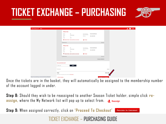

| <b>Back to Arsenal.com @ Tickets</b>                  |                                                                                                        |                                                                                                | $\mathbf{A}$ $\mathbf{B}$ $\mathbf{A}$ |
|-------------------------------------------------------|--------------------------------------------------------------------------------------------------------|------------------------------------------------------------------------------------------------|----------------------------------------|
|                                                       | <b>Platinum Test</b>                                                                                   |                                                                                                |                                        |
|                                                       | Block<br>65<br>Block:<br>65 Club Level<br>$\tau$<br>Row:<br>546<br>Seat                                | Price Class (See<br>Internet Adult Member<br>below for details):<br>Member:<br>Test1 (4365736) |                                        |
|                                                       | CO Stadium Viewer - select your block, row and seat                                                    | - <sup>2</sup> Reassign                                                                        |                                        |
|                                                       | <b>B</b> Remove Seat                                                                                   | £214.25                                                                                        |                                        |
|                                                       | <b>Platinum Test</b><br>Block<br>65<br>Block:<br>65 Club Level<br>Royc<br>$\mathcal{I}$<br>547<br>Seat | Price Class (See<br>Internet Adult Member<br>below for details):<br>Member:<br>Test1 (4365736) |                                        |
|                                                       | 00 Stadium Viewer - select your block, row and seat                                                    | -2 Reassign                                                                                    |                                        |
|                                                       | <b>B</b> Remove Seat                                                                                   | £214.25                                                                                        |                                        |
|                                                       |                                                                                                        | Subtotal: £428.50                                                                              |                                        |
|                                                       | Have a promotional code?                                                                               |                                                                                                |                                        |
|                                                       | <b>APPLY</b><br>Enter code                                                                             |                                                                                                |                                        |
|                                                       | Booking Fee:                                                                                           | £3.30                                                                                          |                                        |
|                                                       | Total<br>Total does not include delivery and/or admin fees. More details.                              | £431.80                                                                                        |                                        |
| https://www.eticketing.co.uk/arsenal/Checkout/Basket# | c Continue shopping                                                                                    | <b>PROCEED TO CHECKOUT</b>                                                                     |                                        |

Once the tickets are in the basket, they will automatically be assigned to the membership number of the account logged in under.

**Step 8:** Should they wish to be reassigned to another Season Ticket holder, simple click **reassign,** where the My Network list will pop up to select from. **all Reassign** 

**PROCEED TO CHECKOUT Step 9:** When assigned correctly, click on **'Proceed To Checkout'** TICKET EXCHANGE – PURCHASING GUIDE